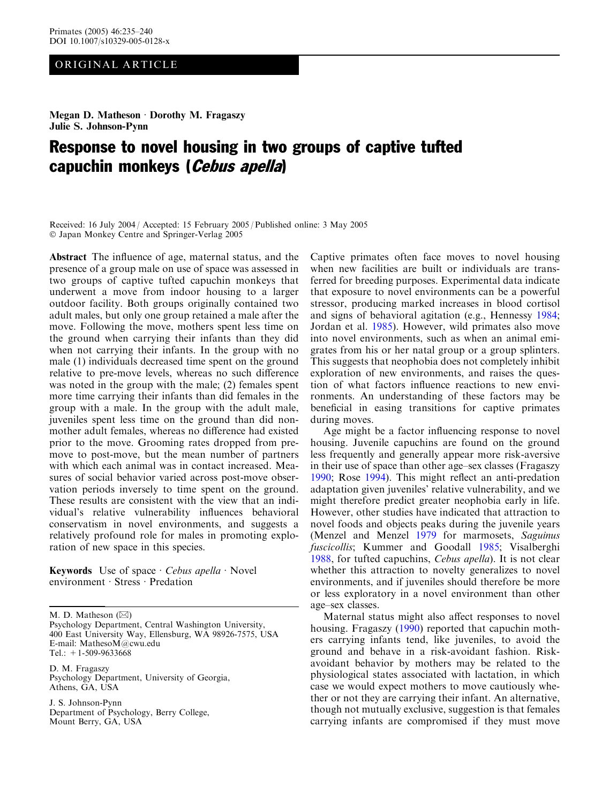# ORIGINAL ARTICLE

Megan D. Matheson  $\cdot$  Dorothy M. Fragaszy Julie S. Johnson-Pynn

# Response to novel housing in two groups of captive tufted capuchin monkeys (Cebus apella)

Received: 16 July 2004 / Accepted: 15 February 2005 / Published online: 3 May 2005 Japan Monkey Centre and Springer-Verlag 2005

Abstract The influence of age, maternal status, and the presence of a group male on use of space was assessed in two groups of captive tufted capuchin monkeys that underwent a move from indoor housing to a larger outdoor facility. Both groups originally contained two adult males, but only one group retained a male after the move. Following the move, mothers spent less time on the ground when carrying their infants than they did when not carrying their infants. In the group with no male (1) individuals decreased time spent on the ground relative to pre-move levels, whereas no such difference was noted in the group with the male; (2) females spent more time carrying their infants than did females in the group with a male. In the group with the adult male, juveniles spent less time on the ground than did nonmother adult females, whereas no difference had existed prior to the move. Grooming rates dropped from premove to post-move, but the mean number of partners with which each animal was in contact increased. Measures of social behavior varied across post-move observation periods inversely to time spent on the ground. These results are consistent with the view that an individual's relative vulnerability influences behavioral conservatism in novel environments, and suggests a relatively profound role for males in promoting exploration of new space in this species.

**Keywords** Use of space  $\cdot$  Cebus apella  $\cdot$  Novel  $environment \cdot Stress \cdot Prediction$ 

M. D. Matheson  $(\boxtimes)$ 

Psychology Department, Central Washington University, 400 East University Way, Ellensburg, WA 98926-7575, USA E-mail: MathesoM@cwu.edu  $Tel: +1-509-9633668$ 

D. M. Fragaszy Psychology Department, University of Georgia, Athens, GA, USA

J. S. Johnson-Pynn Department of Psychology, Berry College, Mount Berry, GA, USA

Captive primates often face moves to novel housing when new facilities are built or individuals are transferred for breeding purposes. Experimental data indicate that exposure to novel environments can be a powerful stressor, producing marked increases in blood cortisol and signs of behavioral agitation (e.g., Hennessy [1984](#page-5-0); Jordan et al. [1985\)](#page-5-0). However, wild primates also move into novel environments, such as when an animal emigrates from his or her natal group or a group splinters. This suggests that neophobia does not completely inhibit exploration of new environments, and raises the question of what factors influence reactions to new environments. An understanding of these factors may be beneficial in easing transitions for captive primates during moves.

Age might be a factor influencing response to novel housing. Juvenile capuchins are found on the ground less frequently and generally appear more risk-aversive in their use of space than other age–sex classes (Fragaszy [1990;](#page-5-0) Rose [1994\)](#page-5-0). This might reflect an anti-predation adaptation given juveniles' relative vulnerability, and we might therefore predict greater neophobia early in life. However, other studies have indicated that attraction to novel foods and objects peaks during the juvenile years (Menzel and Menzel [1979](#page-5-0) for marmosets, Saguinus fuscicollis; Kummer and Goodall [1985;](#page-5-0) Visalberghi [1988,](#page-5-0) for tufted capuchins, Cebus apella). It is not clear whether this attraction to novelty generalizes to novel environments, and if juveniles should therefore be more or less exploratory in a novel environment than other age–sex classes.

Maternal status might also affect responses to novel housing. Fragaszy ([1990](#page-5-0)) reported that capuchin mothers carrying infants tend, like juveniles, to avoid the ground and behave in a risk-avoidant fashion. Riskavoidant behavior by mothers may be related to the physiological states associated with lactation, in which case we would expect mothers to move cautiously whether or not they are carrying their infant. An alternative, though not mutually exclusive, suggestion is that females carrying infants are compromised if they must move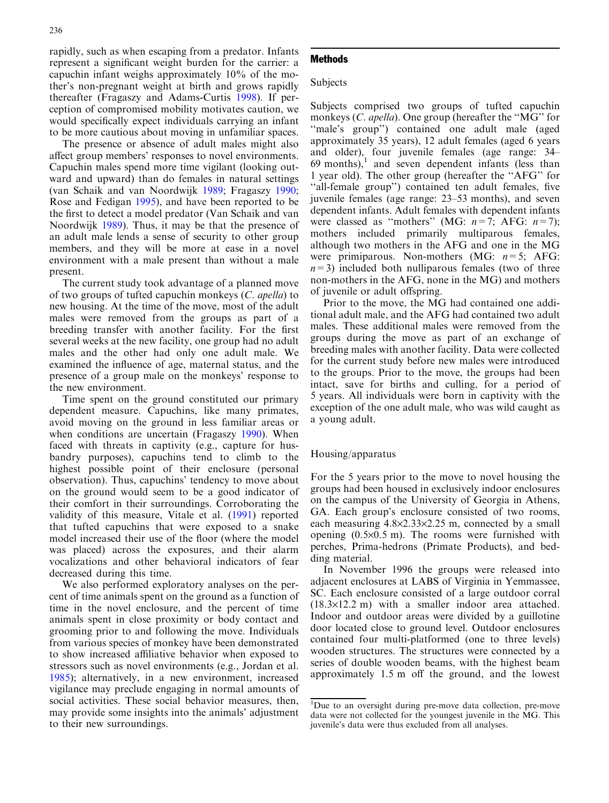rapidly, such as when escaping from a predator. Infants represent a significant weight burden for the carrier: a capuchin infant weighs approximately 10% of the mother's non-pregnant weight at birth and grows rapidly thereafter (Fragaszy and Adams-Curtis [1998\)](#page-5-0). If perception of compromised mobility motivates caution, we would specifically expect individuals carrying an infant to be more cautious about moving in unfamiliar spaces.

The presence or absence of adult males might also affect group members' responses to novel environments. Capuchin males spend more time vigilant (looking outward and upward) than do females in natural settings (van Schaik and van Noordwijk [1989](#page-5-0); Fragaszy [1990](#page-5-0); Rose and Fedigan [1995](#page-5-0)), and have been reported to be the first to detect a model predator (Van Schaik and van Noordwijk [1989\)](#page-5-0). Thus, it may be that the presence of an adult male lends a sense of security to other group members, and they will be more at ease in a novel environment with a male present than without a male present.

The current study took advantage of a planned move of two groups of tufted capuchin monkeys (C. apella) to new housing. At the time of the move, most of the adult males were removed from the groups as part of a breeding transfer with another facility. For the first several weeks at the new facility, one group had no adult males and the other had only one adult male. We examined the influence of age, maternal status, and the presence of a group male on the monkeys' response to the new environment.

Time spent on the ground constituted our primary dependent measure. Capuchins, like many primates, avoid moving on the ground in less familiar areas or when conditions are uncertain (Fragaszy [1990\)](#page-5-0). When faced with threats in captivity (e.g., capture for husbandry purposes), capuchins tend to climb to the highest possible point of their enclosure (personal observation). Thus, capuchins' tendency to move about on the ground would seem to be a good indicator of their comfort in their surroundings. Corroborating the validity of this measure, Vitale et al. [\(1991\)](#page-5-0) reported that tufted capuchins that were exposed to a snake model increased their use of the floor (where the model was placed) across the exposures, and their alarm vocalizations and other behavioral indicators of fear decreased during this time.

We also performed exploratory analyses on the percent of time animals spent on the ground as a function of time in the novel enclosure, and the percent of time animals spent in close proximity or body contact and grooming prior to and following the move. Individuals from various species of monkey have been demonstrated to show increased affiliative behavior when exposed to stressors such as novel environments (e.g., Jordan et al. [1985](#page-5-0)); alternatively, in a new environment, increased vigilance may preclude engaging in normal amounts of social activities. These social behavior measures, then, may provide some insights into the animals' adjustment to their new surroundings.

# Methods

#### Subjects

Subjects comprised two groups of tufted capuchin monkeys (*C. apella*). One group (hereafter the "MG" for "male's group") contained one adult male (aged approximately 35 years), 12 adult females (aged 6 years and older), four juvenile females (age range: 34–  $69$  months),<sup>1</sup> and seven dependent infants (less than 1 year old). The other group (hereafter the ''AFG'' for "all-female group") contained ten adult females, five juvenile females (age range: 23–53 months), and seven dependent infants. Adult females with dependent infants were classed as "mothers" (MG:  $n=7$ ; AFG:  $n=7$ ); mothers included primarily multiparous females, although two mothers in the AFG and one in the MG were primiparous. Non-mothers (MG:  $n=5$ ; AFG:  $n=3$ ) included both nulliparous females (two of three non-mothers in the AFG, none in the MG) and mothers of juvenile or adult offspring.

Prior to the move, the MG had contained one additional adult male, and the AFG had contained two adult males. These additional males were removed from the groups during the move as part of an exchange of breeding males with another facility. Data were collected for the current study before new males were introduced to the groups. Prior to the move, the groups had been intact, save for births and culling, for a period of 5 years. All individuals were born in captivity with the exception of the one adult male, who was wild caught as a young adult.

# Housing/apparatus

For the 5 years prior to the move to novel housing the groups had been housed in exclusively indoor enclosures on the campus of the University of Georgia in Athens, GA. Each group's enclosure consisted of two rooms, each measuring  $4.8 \times 2.33 \times 2.25$  m, connected by a small opening  $(0.5 \times 0.5 \text{ m})$ . The rooms were furnished with perches, Prima-hedrons (Primate Products), and bedding material.

In November 1996 the groups were released into adjacent enclosures at LABS of Virginia in Yemmassee, SC. Each enclosure consisted of a large outdoor corral  $(18.3\times12.2 \text{ m})$  with a smaller indoor area attached. Indoor and outdoor areas were divided by a guillotine door located close to ground level. Outdoor enclosures contained four multi-platformed (one to three levels) wooden structures. The structures were connected by a series of double wooden beams, with the highest beam approximately 1.5 m off the ground, and the lowest

<sup>&</sup>lt;sup>1</sup>Due to an oversight during pre-move data collection, pre-move data were not collected for the youngest juvenile in the MG. This juvenile's data were thus excluded from all analyses.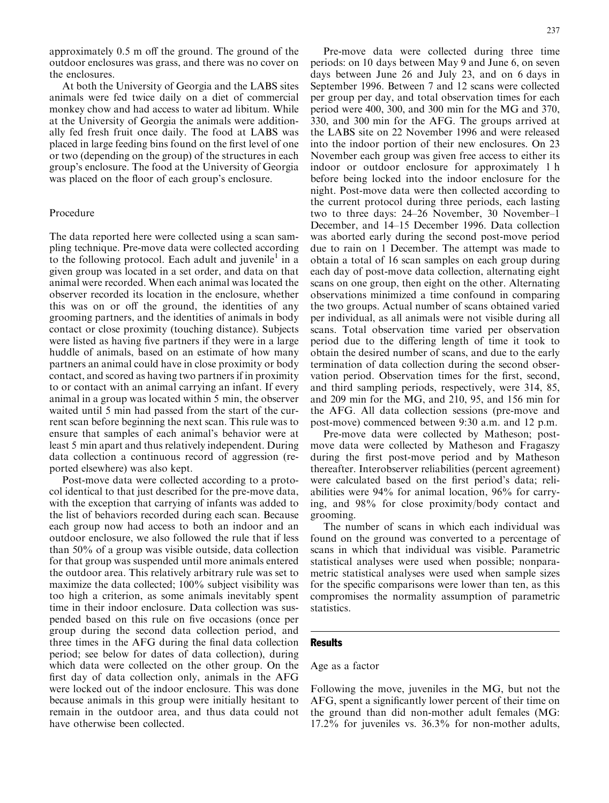approximately 0.5 m off the ground. The ground of the outdoor enclosures was grass, and there was no cover on the enclosures.

At both the University of Georgia and the LABS sites animals were fed twice daily on a diet of commercial monkey chow and had access to water ad libitum. While at the University of Georgia the animals were additionally fed fresh fruit once daily. The food at LABS was placed in large feeding bins found on the first level of one or two (depending on the group) of the structures in each group's enclosure. The food at the University of Georgia was placed on the floor of each group's enclosure.

#### Procedure

The data reported here were collected using a scan sampling technique. Pre-move data were collected according to the following protocol. Each adult and juvenile<sup>1</sup> in a given group was located in a set order, and data on that animal were recorded. When each animal was located the observer recorded its location in the enclosure, whether this was on or off the ground, the identities of any grooming partners, and the identities of animals in body contact or close proximity (touching distance). Subjects were listed as having five partners if they were in a large huddle of animals, based on an estimate of how many partners an animal could have in close proximity or body contact, and scored as having two partners if in proximity to or contact with an animal carrying an infant. If every animal in a group was located within 5 min, the observer waited until 5 min had passed from the start of the current scan before beginning the next scan. This rule was to ensure that samples of each animal's behavior were at least 5 min apart and thus relatively independent. During data collection a continuous record of aggression (reported elsewhere) was also kept.

Post-move data were collected according to a protocol identical to that just described for the pre-move data, with the exception that carrying of infants was added to the list of behaviors recorded during each scan. Because each group now had access to both an indoor and an outdoor enclosure, we also followed the rule that if less than 50% of a group was visible outside, data collection for that group was suspended until more animals entered the outdoor area. This relatively arbitrary rule was set to maximize the data collected; 100% subject visibility was too high a criterion, as some animals inevitably spent time in their indoor enclosure. Data collection was suspended based on this rule on five occasions (once per group during the second data collection period, and three times in the AFG during the final data collection period; see below for dates of data collection), during which data were collected on the other group. On the first day of data collection only, animals in the AFG were locked out of the indoor enclosure. This was done because animals in this group were initially hesitant to remain in the outdoor area, and thus data could not have otherwise been collected.

Pre-move data were collected during three time periods: on 10 days between May 9 and June 6, on seven days between June 26 and July 23, and on 6 days in September 1996. Between 7 and 12 scans were collected per group per day, and total observation times for each period were 400, 300, and 300 min for the MG and 370, 330, and 300 min for the AFG. The groups arrived at the LABS site on 22 November 1996 and were released into the indoor portion of their new enclosures. On 23 November each group was given free access to either its indoor or outdoor enclosure for approximately 1 h before being locked into the indoor enclosure for the night. Post-move data were then collected according to the current protocol during three periods, each lasting two to three days: 24–26 November, 30 November–1 December, and 14–15 December 1996. Data collection was aborted early during the second post-move period due to rain on 1 December. The attempt was made to obtain a total of 16 scan samples on each group during each day of post-move data collection, alternating eight scans on one group, then eight on the other. Alternating observations minimized a time confound in comparing the two groups. Actual number of scans obtained varied per individual, as all animals were not visible during all scans. Total observation time varied per observation period due to the differing length of time it took to obtain the desired number of scans, and due to the early termination of data collection during the second observation period. Observation times for the first, second, and third sampling periods, respectively, were 314, 85, and 209 min for the MG, and 210, 95, and 156 min for the AFG. All data collection sessions (pre-move and post-move) commenced between 9:30 a.m. and 12 p.m.

Pre-move data were collected by Matheson; postmove data were collected by Matheson and Fragaszy during the first post-move period and by Matheson thereafter. Interobserver reliabilities (percent agreement) were calculated based on the first period's data; reliabilities were 94% for animal location, 96% for carrying, and 98% for close proximity/body contact and grooming.

The number of scans in which each individual was found on the ground was converted to a percentage of scans in which that individual was visible. Parametric statistical analyses were used when possible; nonparametric statistical analyses were used when sample sizes for the specific comparisons were lower than ten, as this compromises the normality assumption of parametric statistics.

## **Results**

# Age as a factor

Following the move, juveniles in the MG, but not the AFG, spent a significantly lower percent of their time on the ground than did non-mother adult females (MG: 17.2% for juveniles vs. 36.3% for non-mother adults,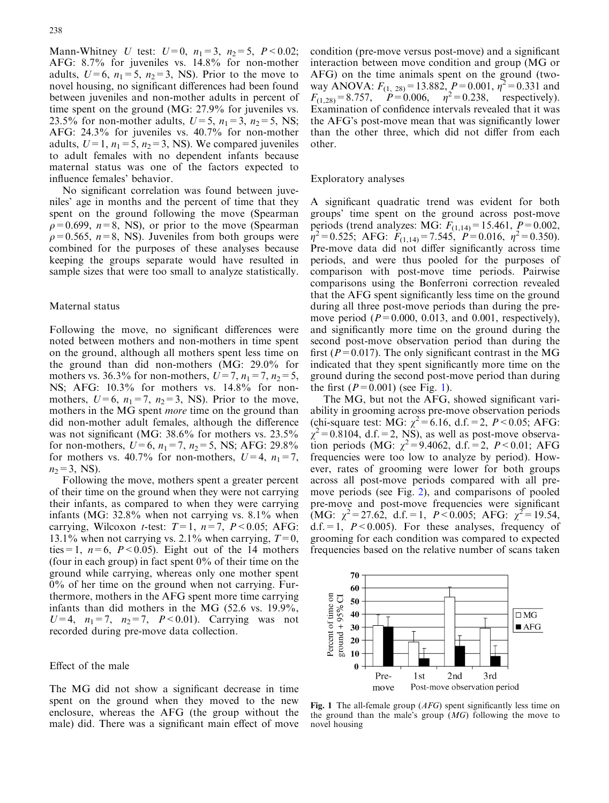Mann-Whitney U test:  $U=0$ ,  $n_1=3$ ,  $n_2=5$ ,  $P<0.02$ ; AFG: 8.7% for juveniles vs. 14.8% for non-mother adults,  $U=6$ ,  $n_1=5$ ,  $n_2=3$ , NS). Prior to the move to novel housing, no significant differences had been found between juveniles and non-mother adults in percent of time spent on the ground (MG: 27.9% for juveniles vs. 23.5% for non-mother adults,  $U=5$ ,  $n_1=3$ ,  $n_2=5$ , NS; AFG: 24.3% for juveniles vs. 40.7% for non-mother adults,  $U=1$ ,  $n_1=5$ ,  $n_2=3$ , NS). We compared juveniles to adult females with no dependent infants because maternal status was one of the factors expected to influence females' behavior.

No significant correlation was found between juveniles' age in months and the percent of time that they spent on the ground following the move (Spearman  $\rho$ =0.699, n=8, NS), or prior to the move (Spearman  $\rho=0.565$ ,  $n=8$ , NS). Juveniles from both groups were combined for the purposes of these analyses because keeping the groups separate would have resulted in sample sizes that were too small to analyze statistically.

#### Maternal status

Following the move, no significant differences were noted between mothers and non-mothers in time spent on the ground, although all mothers spent less time on the ground than did non-mothers (MG: 29.0% for mothers vs. 36.3% for non-mothers,  $U=7$ ,  $n_1=7$ ,  $n_2=5$ , NS; AFG: 10.3% for mothers vs. 14.8% for nonmothers,  $U=6$ ,  $n_1=7$ ,  $n_2=3$ , NS). Prior to the move, mothers in the MG spent more time on the ground than did non-mother adult females, although the difference was not significant (MG: 38.6% for mothers vs. 23.5% for non-mothers,  $U=6$ ,  $n_1=7$ ,  $n_2=5$ , NS; AFG: 29.8% for mothers vs. 40.7% for non-mothers,  $U=4$ ,  $n_1=7$ ,  $n_2$ =3, NS).

Following the move, mothers spent a greater percent of their time on the ground when they were not carrying their infants, as compared to when they were carrying infants (MG: 32.8% when not carrying vs. 8.1% when carrying, Wilcoxon t-test:  $T=1$ ,  $n=7$ ,  $P<0.05$ ; AFG: 13.1% when not carrying vs. 2.1% when carrying,  $T=0$ , ties = 1,  $n=6$ ,  $P < 0.05$ ). Eight out of the 14 mothers (four in each group) in fact spent 0% of their time on the ground while carrying, whereas only one mother spent 0% of her time on the ground when not carrying. Furthermore, mothers in the AFG spent more time carrying infants than did mothers in the MG (52.6 vs. 19.9%,  $U=4$ ,  $n_1=7$ ,  $n_2=7$ ,  $P<0.01$ ). Carrying was not recorded during pre-move data collection.

#### Effect of the male

The MG did not show a significant decrease in time spent on the ground when they moved to the new enclosure, whereas the AFG (the group without the male) did. There was a significant main effect of move

condition (pre-move versus post-move) and a significant interaction between move condition and group (MG or AFG) on the time animals spent on the ground (twoway ANOVA:  $F_{(1, 28)} = 13.882$ ,  $P = 0.001$ ,  $\eta^2 = 0.331$  and  $F_{(1,28)} = 8.757$ ,  $P = 0.006$ ,  $\eta^2 = 0.238$ , respectively). Examination of confidence intervals revealed that it was the AFG's post-move mean that was significantly lower than the other three, which did not differ from each other.

#### Exploratory analyses

A significant quadratic trend was evident for both groups' time spent on the ground across post-move periods (trend analyzes: MG:  $F_{(1,14)} = 15.461$ ,  $P = 0.002$ ,  $\hat{\eta}^2 = 0.525$ ; AFG:  $\hat{F}_{(1,14)} = 7.545$ ,  $\hat{P} = 0.016$ ,  $\hat{\eta}^2 = 0.350$ ). Pre-move data did not differ significantly across time periods, and were thus pooled for the purposes of comparison with post-move time periods. Pairwise comparisons using the Bonferroni correction revealed that the AFG spent significantly less time on the ground during all three post-move periods than during the premove period  $(P=0.000, 0.013,$  and 0.001, respectively), and significantly more time on the ground during the second post-move observation period than during the first ( $P=0.017$ ). The only significant contrast in the MG indicated that they spent significantly more time on the ground during the second post-move period than during the first  $(P = 0.001)$  (see Fig. 1).

The MG, but not the AFG, showed significant variability in grooming across pre-move observation periods (chi-square test:  $\text{MG: } \chi^2 = 6.16$ , d.f. = 2, P < 0.05; AFG:  $\chi^2$  = 0.8104, d.f. = 2, NS), as well as post-move observation periods (MG:  $\chi^2 = 9.4062$ , d.f. = 2, P < 0.01; AFG frequencies were too low to analyze by period). However, rates of grooming were lower for both groups across all post-move periods compared with all premove periods (see Fig. [2\), and comparisons of pooled](#page-4-0) [pre-move and post-move frequencies were significant](#page-4-0) [\(MG:](#page-4-0)  $\chi^2 = 27.62$ , d.f. = 1,  $P < 0.005$ ; AFG:  $\chi^2 = 19.54$ ,  $d.f. = 1$ ,  $P < 0.005$ ). For these analyses, frequency of [grooming for each condition was compared to expected](#page-4-0) [frequencies based on the relative number of scans taken](#page-4-0)



Fig. 1 The all-female group  $(AFG)$  spent significantly less time on the ground than the male's group  $(MG)$  following the move to novel housing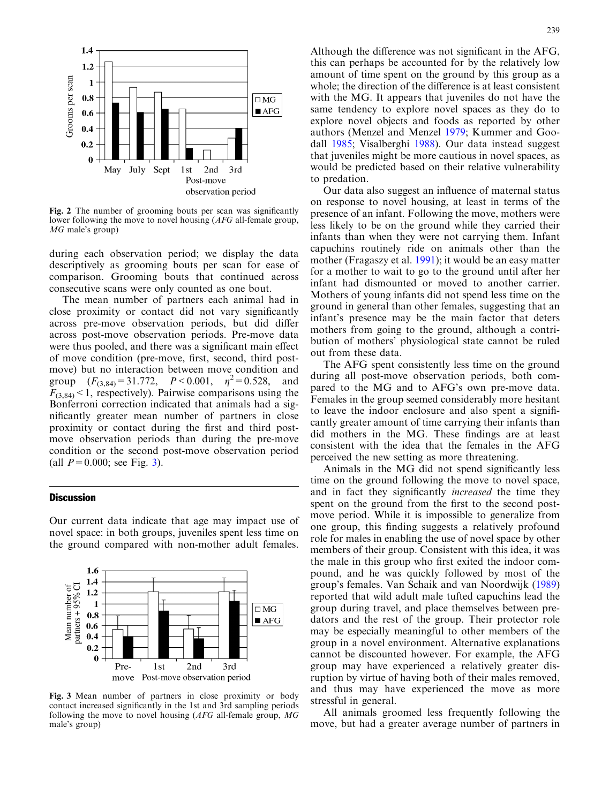<span id="page-4-0"></span>

Fig. 2 The number of grooming bouts per scan was significantly lower following the move to novel housing (AFG all-female group, MG male's group)

during each observation period; we display the data descriptively as grooming bouts per scan for ease of comparison. Grooming bouts that continued across consecutive scans were only counted as one bout.

The mean number of partners each animal had in close proximity or contact did not vary significantly across pre-move observation periods, but did differ across post-move observation periods. Pre-move data were thus pooled, and there was a significant main effect of move condition (pre-move, first, second, third postmove) but no interaction between move condition and group  $(F_{(3,84)} = 31.772, P < 0.001, \eta^2 = 0.528, \text{ and}$  $F_{(3,84)}$  < 1, respectively). Pairwise comparisons using the Bonferroni correction indicated that animals had a significantly greater mean number of partners in close proximity or contact during the first and third postmove observation periods than during the pre-move condition or the second post-move observation period (all  $P=0.000$ ; see Fig. 3).

### **Discussion**

Our current data indicate that age may impact use of novel space: in both groups, juveniles spent less time on the ground compared with non-mother adult females.



Fig. 3 Mean number of partners in close proximity or body contact increased significantly in the 1st and 3rd sampling periods following the move to novel housing  $(AFG$  all-female group, MG male's group)

Although the difference was not significant in the AFG, this can perhaps be accounted for by the relatively low amount of time spent on the ground by this group as a whole; the direction of the difference is at least consistent with the MG. It appears that juveniles do not have the same tendency to explore novel spaces as they do to explore novel objects and foods as reported by other authors (Menzel and Menzel [1979;](#page-5-0) Kummer and Goodall [1985](#page-5-0); Visalberghi [1988\)](#page-5-0). Our data instead suggest that juveniles might be more cautious in novel spaces, as would be predicted based on their relative vulnerability to predation.

Our data also suggest an influence of maternal status on response to novel housing, at least in terms of the presence of an infant. Following the move, mothers were less likely to be on the ground while they carried their infants than when they were not carrying them. Infant capuchins routinely ride on animals other than the mother (Fragaszy et al. [1991\)](#page-5-0); it would be an easy matter for a mother to wait to go to the ground until after her infant had dismounted or moved to another carrier. Mothers of young infants did not spend less time on the ground in general than other females, suggesting that an infant's presence may be the main factor that deters mothers from going to the ground, although a contribution of mothers' physiological state cannot be ruled out from these data.

The AFG spent consistently less time on the ground during all post-move observation periods, both compared to the MG and to AFG's own pre-move data. Females in the group seemed considerably more hesitant to leave the indoor enclosure and also spent a significantly greater amount of time carrying their infants than did mothers in the MG. These findings are at least consistent with the idea that the females in the AFG perceived the new setting as more threatening.

Animals in the MG did not spend significantly less time on the ground following the move to novel space, and in fact they significantly *increased* the time they spent on the ground from the first to the second postmove period. While it is impossible to generalize from one group, this finding suggests a relatively profound role for males in enabling the use of novel space by other members of their group. Consistent with this idea, it was the male in this group who first exited the indoor compound, and he was quickly followed by most of the group's females. Van Schaik and van Noordwijk [\(1989\)](#page-5-0) reported that wild adult male tufted capuchins lead the group during travel, and place themselves between predators and the rest of the group. Their protector role may be especially meaningful to other members of the group in a novel environment. Alternative explanations cannot be discounted however. For example, the AFG group may have experienced a relatively greater disruption by virtue of having both of their males removed, and thus may have experienced the move as more stressful in general.

All animals groomed less frequently following the move, but had a greater average number of partners in